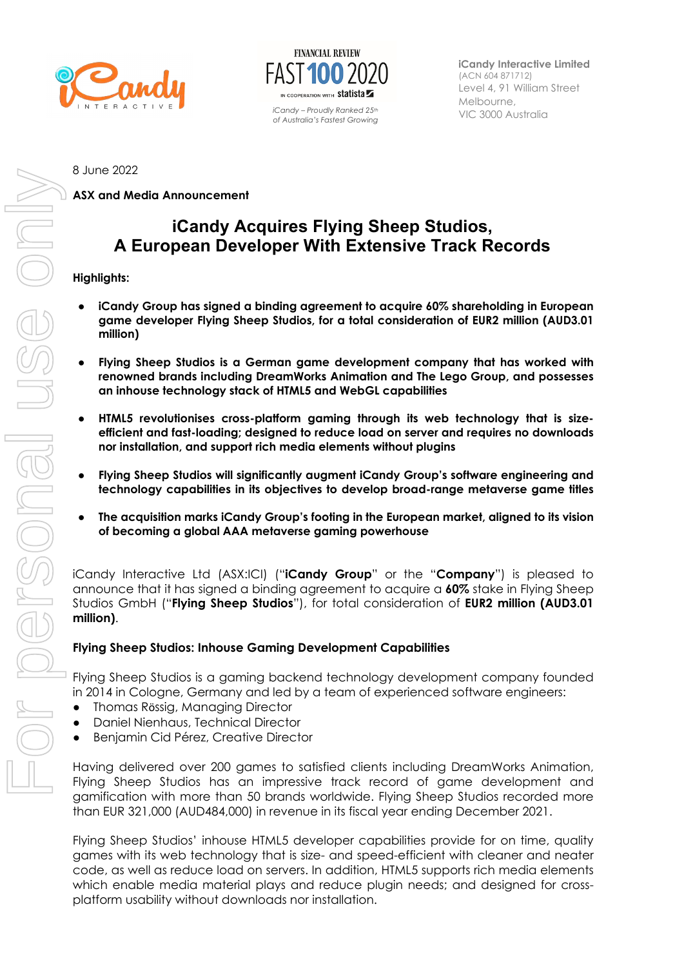



VIC 3000 Australia *iCandy – Proudly Ranked 25th of Australia's Fastest Growing* 

**iCandy Interactive Limited** (ACN 604 871712) Level 4, 91 William Street Melbourne,

8 June 2022

**ASX and Media Announcement** 

# **iCandy Acquires Flying Sheep Studios, A European Developer With Extensive Track Records**

## **Highlights:**

- **iCandy Group has signed a binding agreement to acquire 60% shareholding in European game developer Flying Sheep Studios, for a total consideration of EUR2 million (AUD3.01 million)**
- **Flying Sheep Studios is a German game development company that has worked with renowned brands including DreamWorks Animation and The Lego Group, and possesses an inhouse technology stack of HTML5 and WebGL capabilities**
- **HTML5 revolutionises cross-platform gaming through its web technology that is sizeefficient and fast-loading; designed to reduce load on server and requires no downloads nor installation, and support rich media elements without plugins**
- **Flying Sheep Studios will significantly augment iCandy Group's software engineering and technology capabilities in its objectives to develop broad-range metaverse game titles**
- **The acquisition marks iCandy Group's footing in the European market, aligned to its vision of becoming a global AAA metaverse gaming powerhouse**

iCandy Interactive Ltd (ASX:ICI) ("**iCandy Group**" or the "**Company**") is pleased to announce that it has signed a binding agreement to acquire a **60%** stake in Flying Sheep Studios GmbH ("**Flying Sheep Studios**"), for total consideration of **EUR2 million (AUD3.01 million)**.

## **Flying Sheep Studios: Inhouse Gaming Development Capabilities**

Flying Sheep Studios is a gaming backend technology development company founded in 2014 in Cologne, Germany and led by a team of experienced software engineers:

- Thomas Rössig, Managing Director
- Daniel Nienhaus, Technical Director
- Benjamin Cid Pérez, Creative Director

Having delivered over 200 games to satisfied clients including DreamWorks Animation, Flying Sheep Studios has an impressive track record of game development and gamification with more than 50 brands worldwide. Flying Sheep Studios recorded more than EUR 321,000 (AUD484,000) in revenue in its fiscal year ending December 2021.

Flying Sheep Studios' inhouse HTML5 developer capabilities provide for on time, quality games with its web technology that is size- and speed-efficient with cleaner and neater code, as well as reduce load on servers. In addition, HTML5 supports rich media elements which enable media material plays and reduce plugin needs; and designed for crossplatform usability without downloads nor installation.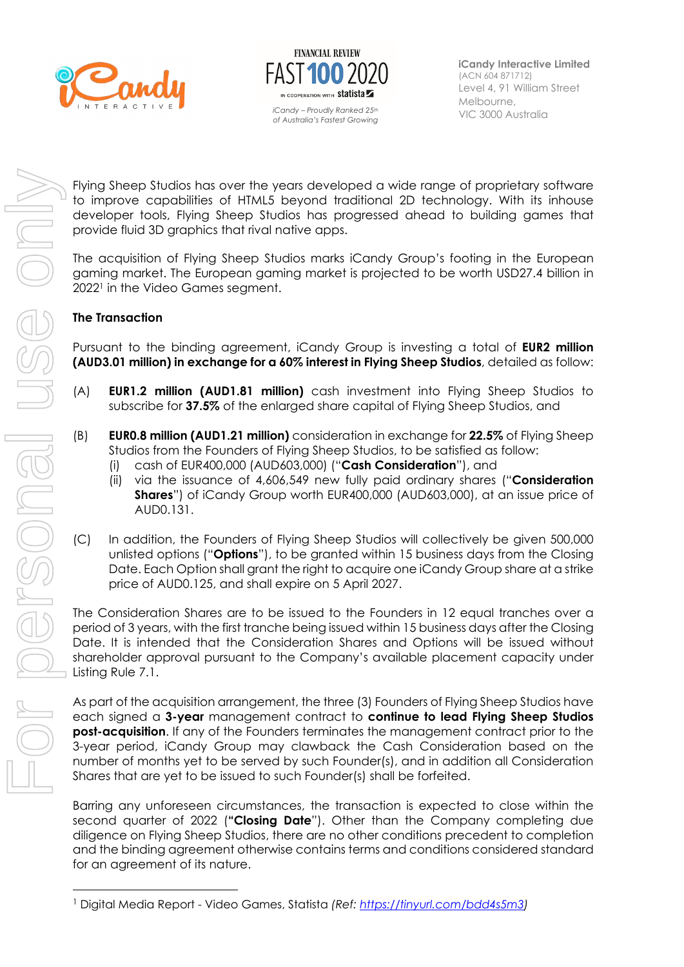



VIC 3000 Australia *iCandy – Proudly Ranked 25th of Australia's Fastest Growing* 

**iCandy Interactive Limited** (ACN 604 871712) Level 4, 91 William Street Melbourne,

Flying Sheep Studios has over the years developed a wide range of proprietary software to improve capabilities of HTML5 beyond traditional 2D technology. With its inhouse developer tools, Flying Sheep Studios has progressed ahead to building games that provide fluid 3D graphics that rival native apps.

The acquisition of Flying Sheep Studios marks iCandy Group's footing in the European gaming market. The European gaming market is projected to be worth USD27.4 billion in 2022<sup>1</sup> in the Video Games segment.

## **The Transaction**

Pursuant to the binding agreement, iCandy Group is investing a total of **EUR2 million (AUD3.01 million) in exchange for a 60% interest in Flying Sheep Studios**, detailed as follow:

- (A) **EUR1.2 million (AUD1.81 million)** cash investment into Flying Sheep Studios to subscribe for **37.5%** of the enlarged share capital of Flying Sheep Studios, and
- (B) **EUR0.8 million (AUD1.21 million)** consideration in exchange for **22.5%** of Flying Sheep Studios from the Founders of Flying Sheep Studios, to be satisfied as follow:
	- (i) cash of EUR400,000 (AUD603,000) ("**Cash Consideration**"), and
	- (ii) via the issuance of 4,606,549 new fully paid ordinary shares ("**Consideration Shares**") of iCandy Group worth EUR400,000 (AUD603,000), at an issue price of AUD0.131.
- (C) In addition, the Founders of Flying Sheep Studios will collectively be given 500,000 unlisted options ("**Options**"), to be granted within 15 business days from the Closing Date. Each Option shall grant the right to acquire one iCandy Group share at a strike price of AUD0.125, and shall expire on 5 April 2027.

The Consideration Shares are to be issued to the Founders in 12 equal tranches over a period of 3 years, with the first tranche being issued within 15 business days after the Closing Date. It is intended that the Consideration Shares and Options will be issued without shareholder approval pursuant to the Company's available placement capacity under Listing Rule 7.1.

As part of the acquisition arrangement, the three (3) Founders of Flying Sheep Studios have each signed a **3-year** management contract to **continue to lead Flying Sheep Studios post-acquisition**. If any of the Founders terminates the management contract prior to the 3-year period, iCandy Group may clawback the Cash Consideration based on the number of months yet to be served by such Founder(s), and in addition all Consideration Shares that are yet to be issued to such Founder(s) shall be forfeited.

Barring any unforeseen circumstances, the transaction is expected to close within the second quarter of 2022 (**"Closing Date**"). Other than the Company completing due diligence on Flying Sheep Studios, there are no other conditions precedent to completion and the binding agreement otherwise contains terms and conditions considered standard for an agreement of its nature.

<sup>1</sup> Digital Media Report - Video Games, Statista *(Ref: https://tinyurl.com/bdd4s5m3)*